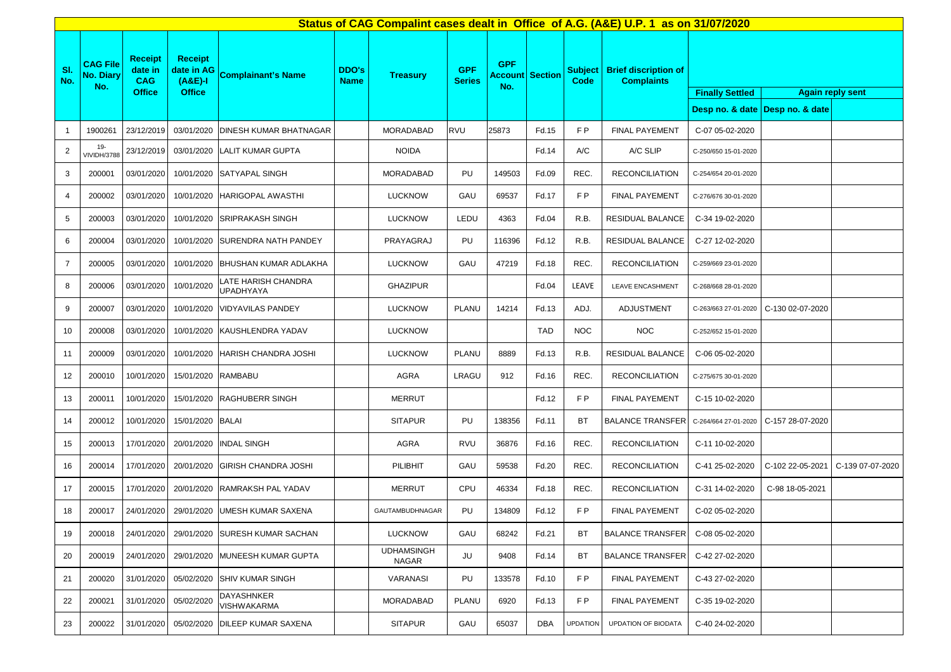|                |                                            |                                                   |                                                            |                                         |                             | Status of CAG Compalint cases dealt in Office of A.G. (A&E) U.P. 1 as on 31/07/2020 |                             |                                             |       |                 |                                                     |                                                   |                                 |                  |
|----------------|--------------------------------------------|---------------------------------------------------|------------------------------------------------------------|-----------------------------------------|-----------------------------|-------------------------------------------------------------------------------------|-----------------------------|---------------------------------------------|-------|-----------------|-----------------------------------------------------|---------------------------------------------------|---------------------------------|------------------|
| SI.<br>No.     | <b>CAG File</b><br><b>No. Diary</b><br>No. | <b>Receipt</b><br>date in<br>CAG<br><b>Office</b> | <b>Receipt</b><br>date in AG<br>$(A&E)-I$<br><b>Office</b> | <b>Complainant's Name</b>               | <b>DDO's</b><br><b>Name</b> | <b>Treasury</b>                                                                     | <b>GPF</b><br><b>Series</b> | <b>GPF</b><br><b>Account Section</b><br>No. |       | Code            | Subject   Brief discription of<br><b>Complaints</b> | <b>Finally Settled</b><br><b>Again reply sent</b> |                                 |                  |
|                |                                            |                                                   |                                                            |                                         |                             |                                                                                     |                             |                                             |       |                 |                                                     |                                                   | Desp no. & date Desp no. & date |                  |
| $\overline{1}$ | 1900261                                    | 23/12/2019                                        | 03/01/2020                                                 | <b>DINESH KUMAR BHATNAGAR</b>           |                             | <b>MORADABAD</b>                                                                    | <b>RVU</b>                  | 25873                                       | Fd.15 | F P             | <b>FINAL PAYEMENT</b>                               | C-07 05-02-2020                                   |                                 |                  |
| 2              | $19 -$<br><b>VIVIDH/3788</b>               | 23/12/2019                                        |                                                            | 03/01/2020 LALIT KUMAR GUPTA            |                             | <b>NOIDA</b>                                                                        |                             |                                             | Fd.14 | A/C             | A/C SLIP                                            | C-250/650 15-01-2020                              |                                 |                  |
| 3              | 200001                                     | 03/01/2020                                        |                                                            | 10/01/2020 SATYAPAL SINGH               |                             | <b>MORADABAD</b>                                                                    | PU                          | 149503                                      | Fd.09 | REC.            | <b>RECONCILIATION</b>                               | C-254/654 20-01-2020                              |                                 |                  |
| $\overline{4}$ | 200002                                     | 03/01/2020                                        | 10/01/2020                                                 | <b>HARIGOPAL AWASTHI</b>                |                             | <b>LUCKNOW</b>                                                                      | GAU                         | 69537                                       | Fd.17 | FP              | <b>FINAL PAYEMENT</b>                               | C-276/676 30-01-2020                              |                                 |                  |
| 5              | 200003                                     | 03/01/2020                                        | 10/01/2020                                                 | <b>SRIPRAKASH SINGH</b>                 |                             | <b>LUCKNOW</b>                                                                      | LEDU                        | 4363                                        | Fd.04 | R.B.            | RESIDUAL BALANCE                                    | C-34 19-02-2020                                   |                                 |                  |
| 6              | 200004                                     | 03/01/2020                                        |                                                            | 10/01/2020 SURENDRA NATH PANDEY         |                             | PRAYAGRAJ                                                                           | PU                          | 116396                                      | Fd.12 | R.B.            | RESIDUAL BALANCE                                    | C-27 12-02-2020                                   |                                 |                  |
| $\overline{7}$ | 200005                                     | 03/01/2020                                        | 10/01/2020                                                 | <b>BHUSHAN KUMAR ADLAKHA</b>            |                             | <b>LUCKNOW</b>                                                                      | GAU                         | 47219                                       | Fd.18 | REC.            | <b>RECONCILIATION</b>                               | C-259/669 23-01-2020                              |                                 |                  |
| 8              | 200006                                     | 03/01/2020                                        | 10/01/2020                                                 | LATE HARISH CHANDRA<br><b>UPADHYAYA</b> |                             | <b>GHAZIPUR</b>                                                                     |                             |                                             | Fd.04 | LEAVE           | <b>LEAVE ENCASHMENT</b>                             | C-268/668 28-01-2020                              |                                 |                  |
| 9              | 200007                                     | 03/01/2020                                        | 10/01/2020                                                 | <b>VIDYAVILAS PANDEY</b>                |                             | <b>LUCKNOW</b>                                                                      | PLANU                       | 14214                                       | Fd.13 | ADJ.            | ADJUSTMENT                                          | C-263/663 27-01-2020                              | C-130 02-07-2020                |                  |
| 10             | 200008                                     | 03/01/2020                                        | 10/01/2020                                                 | KAUSHLENDRA YADAV                       |                             | <b>LUCKNOW</b>                                                                      |                             |                                             | TAD   | <b>NOC</b>      | <b>NOC</b>                                          | C-252/652 15-01-2020                              |                                 |                  |
| 11             | 200009                                     | 03/01/2020                                        |                                                            | 10/01/2020 HARISH CHANDRA JOSHI         |                             | <b>LUCKNOW</b>                                                                      | PLANU                       | 8889                                        | Fd.13 | R.B.            | RESIDUAL BALANCE                                    | C-06 05-02-2020                                   |                                 |                  |
| 12             | 200010                                     | 10/01/2020                                        | 15/01/2020 RAMBABU                                         |                                         |                             | AGRA                                                                                | LRAGU                       | 912                                         | Fd.16 | REC.            | <b>RECONCILIATION</b>                               | C-275/675 30-01-2020                              |                                 |                  |
| 13             | 200011                                     | 10/01/2020                                        | 15/01/2020                                                 | <b>RAGHUBERR SINGH</b>                  |                             | <b>MERRUT</b>                                                                       |                             |                                             | Fd.12 | F P             | <b>FINAL PAYEMENT</b>                               | C-15 10-02-2020                                   |                                 |                  |
| 14             | 200012                                     | 10/01/2020                                        | 15/01/2020 BALAI                                           |                                         |                             | <b>SITAPUR</b>                                                                      | PU                          | 138356                                      | Fd.11 | ВT              | <b>BALANCE TRANSFER</b>                             | C-264/664 27-01-2020                              | C-157 28-07-2020                |                  |
| 15             | 200013                                     | 17/01/2020                                        |                                                            | 20/01/2020 INDAL SINGH                  |                             | <b>AGRA</b>                                                                         | <b>RVU</b>                  | 36876                                       | Fd.16 | REC.            | <b>RECONCILIATION</b>                               | C-11 10-02-2020                                   |                                 |                  |
| 16             | 200014                                     | 17/01/2020                                        | 20/01/2020                                                 | GIRISH CHANDRA JOSHI                    |                             | PILIBHIT                                                                            | GAU                         | 59538                                       | Fd.20 | REC.            | <b>RECONCILIATION</b>                               | C-41 25-02-2020                                   | C-102 22-05-2021                | C-139 07-07-2020 |
| 17             | 200015                                     | 17/01/2020                                        | 20/01/2020                                                 | RAMRAKSH PAL YADAV                      |                             | <b>MERRUT</b>                                                                       | CPU                         | 46334                                       | Fd.18 | REC.            | <b>RECONCILIATION</b>                               | C-31 14-02-2020                                   | C-98 18-05-2021                 |                  |
| 18             | 200017                                     | 24/01/2020                                        |                                                            | 29/01/2020 UMESH KUMAR SAXENA           |                             | GAUTAMBUDHNAGAR                                                                     | PU                          | 134809                                      | Fd.12 | FP              | <b>FINAL PAYEMENT</b>                               | C-02 05-02-2020                                   |                                 |                  |
| 19             | 200018                                     | 24/01/2020                                        |                                                            | 29/01/2020 SURESH KUMAR SACHAN          |                             | <b>LUCKNOW</b>                                                                      | GAU                         | 68242                                       | Fd.21 | <b>BT</b>       | <b>BALANCE TRANSFER</b>                             | C-08 05-02-2020                                   |                                 |                  |
| 20             | 200019                                     | 24/01/2020                                        |                                                            | 29/01/2020 MUNEESH KUMAR GUPTA          |                             | <b>UDHAMSINGH</b><br>NAGAR                                                          | JU                          | 9408                                        | Fd.14 | BT              | <b>BALANCE TRANSFER</b>                             | C-42 27-02-2020                                   |                                 |                  |
| 21             | 200020                                     | 31/01/2020                                        | 05/02/2020                                                 | <b>SHIV KUMAR SINGH</b>                 |                             | VARANASI                                                                            | PU                          | 133578                                      | Fd.10 | FP              | <b>FINAL PAYEMENT</b>                               | C-43 27-02-2020                                   |                                 |                  |
| 22             | 200021                                     | 31/01/2020                                        | 05/02/2020                                                 | <b>DAYASHNKER</b><br>VISHWAKARMA        |                             | <b>MORADABAD</b>                                                                    | <b>PLANU</b>                | 6920                                        | Fd.13 | F P             | FINAL PAYEMENT                                      | C-35 19-02-2020                                   |                                 |                  |
| 23             | 200022                                     | 31/01/2020                                        | 05/02/2020                                                 | <b>DILEEP KUMAR SAXENA</b>              |                             | <b>SITAPUR</b>                                                                      | GAU                         | 65037                                       | DBA   | <b>UPDATION</b> | UPDATION OF BIODATA                                 | C-40 24-02-2020                                   |                                 |                  |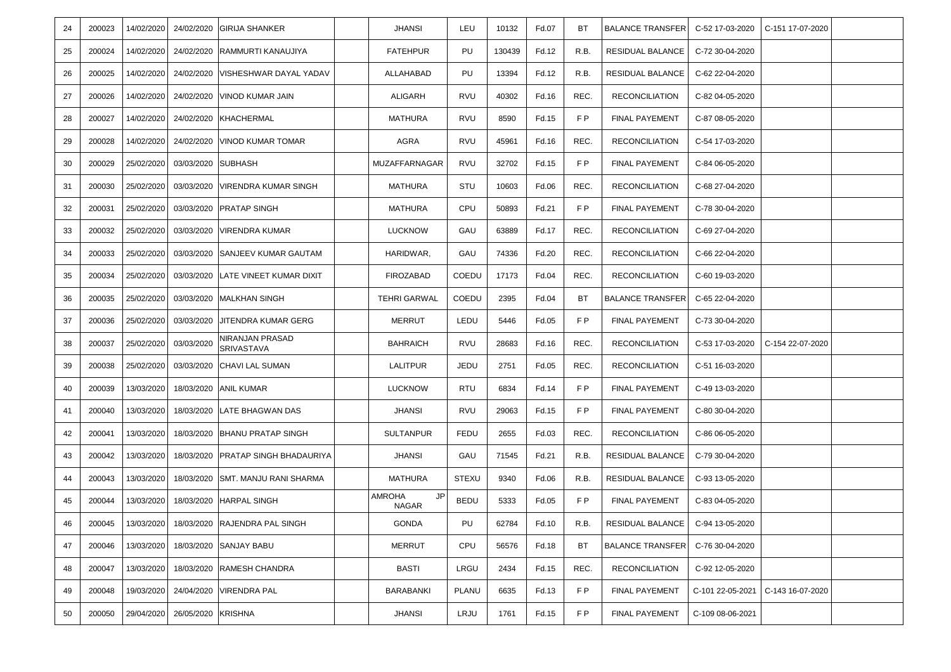| 24 | 200023 | 14/02/2020 |                    | 24/02/2020 GIRIJA SHANKER                    | <b>JHANSI</b>                       | LEU          | 10132  | Fd.07 | BT        | <b>BALANCE TRANSFER</b> | C-52 17-03-2020  | C-151 17-07-2020 |  |
|----|--------|------------|--------------------|----------------------------------------------|-------------------------------------|--------------|--------|-------|-----------|-------------------------|------------------|------------------|--|
| 25 | 200024 | 14/02/2020 | 24/02/2020         | RAMMURTI KANAUJIYA                           | <b>FATEHPUR</b>                     | PU           | 130439 | Fd.12 | R.B.      | RESIDUAL BALANCE        | C-72 30-04-2020  |                  |  |
| 26 | 200025 | 14/02/2020 |                    | 24/02/2020 VISHESHWAR DAYAL YADAV            | ALLAHABAD                           | PU           | 13394  | Fd.12 | R.B.      | RESIDUAL BALANCE        | C-62 22-04-2020  |                  |  |
| 27 | 200026 | 14/02/2020 |                    | 24/02/2020 VINOD KUMAR JAIN                  | ALIGARH                             | <b>RVU</b>   | 40302  | Fd.16 | REC.      | <b>RECONCILIATION</b>   | C-82 04-05-2020  |                  |  |
| 28 | 200027 | 14/02/2020 |                    | 24/02/2020 KHACHERMAL                        | <b>MATHURA</b>                      | RVU          | 8590   | Fd.15 | FP.       | FINAL PAYEMENT          | C-87 08-05-2020  |                  |  |
| 29 | 200028 | 14/02/2020 |                    | 24/02/2020 VINOD KUMAR TOMAR                 | AGRA                                | RVU          | 45961  | Fd.16 | REC.      | <b>RECONCILIATION</b>   | C-54 17-03-2020  |                  |  |
| 30 | 200029 | 25/02/2020 | 03/03/2020 SUBHASH |                                              | MUZAFFARNAGAR                       | <b>RVU</b>   | 32702  | Fd.15 | F P       | <b>FINAL PAYEMENT</b>   | C-84 06-05-2020  |                  |  |
| 31 | 200030 | 25/02/2020 | 03/03/2020         | <b>VIRENDRA KUMAR SINGH</b>                  | MATHURA                             | STU          | 10603  | Fd.06 | REC.      | <b>RECONCILIATION</b>   | C-68 27-04-2020  |                  |  |
| 32 | 200031 | 25/02/2020 |                    | 03/03/2020 PRATAP SINGH                      | MATHURA                             | CPU          | 50893  | Fd.21 | FP        | <b>FINAL PAYEMENT</b>   | C-78 30-04-2020  |                  |  |
| 33 | 200032 | 25/02/2020 |                    | 03/03/2020 VIRENDRA KUMAR                    | <b>LUCKNOW</b>                      | GAU          | 63889  | Fd.17 | REC.      | <b>RECONCILIATION</b>   | C-69 27-04-2020  |                  |  |
| 34 | 200033 | 25/02/2020 | 03/03/2020         | SANJEEV KUMAR GAUTAM                         | HARIDWAR,                           | GAU          | 74336  | Fd.20 | REC.      | <b>RECONCILIATION</b>   | C-66 22-04-2020  |                  |  |
| 35 | 200034 | 25/02/2020 |                    | 03/03/2020 LATE VINEET KUMAR DIXIT           | <b>FIROZABAD</b>                    | <b>COEDU</b> | 17173  | Fd.04 | REC.      | <b>RECONCILIATION</b>   | C-60 19-03-2020  |                  |  |
| 36 | 200035 | 25/02/2020 |                    | 03/03/2020 MALKHAN SINGH                     | <b>TEHRI GARWAL</b>                 | <b>COEDU</b> | 2395   | Fd.04 | BT        | <b>BALANCE TRANSFER</b> | C-65 22-04-2020  |                  |  |
| 37 | 200036 | 25/02/2020 | 03/03/2020         | JITENDRA KUMAR GERG                          | <b>MERRUT</b>                       | LEDU         | 5446   | Fd.05 | FP.       | <b>FINAL PAYEMENT</b>   | C-73 30-04-2020  |                  |  |
| 38 | 200037 | 25/02/2020 | 03/03/2020         | NIRANJAN PRASAD<br>SRIVASTAVA                | <b>BAHRAICH</b>                     | <b>RVU</b>   | 28683  | Fd.16 | REC.      | <b>RECONCILIATION</b>   | C-53 17-03-2020  | C-154 22-07-2020 |  |
| 39 | 200038 | 25/02/2020 |                    | 03/03/2020 CHAVI LAL SUMAN                   | LALITPUR                            | JEDU         | 2751   | Fd.05 | REC.      | <b>RECONCILIATION</b>   | C-51 16-03-2020  |                  |  |
| 40 | 200039 | 13/03/2020 | 18/03/2020         | <b>ANIL KUMAR</b>                            | <b>LUCKNOW</b>                      | <b>RTU</b>   | 6834   | Fd.14 | F P       | <b>FINAL PAYEMENT</b>   | C-49 13-03-2020  |                  |  |
| 41 | 200040 | 13/03/2020 |                    | 18/03/2020 LATE BHAGWAN DAS                  | <b>JHANSI</b>                       | <b>RVU</b>   | 29063  | Fd.15 | F P       | <b>FINAL PAYEMENT</b>   | C-80 30-04-2020  |                  |  |
| 42 | 200041 | 13/03/2020 |                    | 18/03/2020 BHANU PRATAP SINGH                | <b>SULTANPUR</b>                    | <b>FEDU</b>  | 2655   | Fd.03 | REC.      | <b>RECONCILIATION</b>   | C-86 06-05-2020  |                  |  |
| 43 | 200042 | 13/03/2020 | 18/03/2020         | <b>PRATAP SINGH BHADAURIYA</b>               | JHANSI                              | GAU          | 71545  | Fd.21 | R.B.      | RESIDUAL BALANCE        | C-79 30-04-2020  |                  |  |
| 44 | 200043 | 13/03/2020 |                    | 18/03/2020 SMT. MANJU RANI SHARMA            | <b>MATHURA</b>                      | <b>STEXU</b> | 9340   | Fd.06 | R.B.      | RESIDUAL BALANCE        | C-93 13-05-2020  |                  |  |
| 45 | 200044 | 13/03/2020 |                    | 18/03/2020 HARPAL SINGH                      | <b>JP</b><br>AMROHA<br><b>NAGAR</b> | <b>BEDU</b>  | 5333   | Fd.05 | F P       | <b>FINAL PAYEMENT</b>   | C-83 04-05-2020  |                  |  |
| 46 | 200045 |            |                    | 13/03/2020   18/03/2020   RAJENDRA PAL SINGH | <b>GONDA</b>                        | PU           | 62784  | Fd.10 | R.B.      | RESIDUAL BALANCE        | C-94 13-05-2020  |                  |  |
| 47 | 200046 | 13/03/2020 | 18/03/2020         | <b>SANJAY BABU</b>                           | <b>MERRUT</b>                       | CPU          | 56576  | Fd.18 | <b>BT</b> | <b>BALANCE TRANSFER</b> | C-76 30-04-2020  |                  |  |
| 48 | 200047 | 13/03/2020 | 18/03/2020         | <b>RAMESH CHANDRA</b>                        | <b>BASTI</b>                        | LRGU         | 2434   | Fd.15 | REC.      | <b>RECONCILIATION</b>   | C-92 12-05-2020  |                  |  |
| 49 | 200048 | 19/03/2020 | 24/04/2020         | <b>VIRENDRA PAL</b>                          | BARABANKI                           | <b>PLANU</b> | 6635   | Fd.13 | F P       | <b>FINAL PAYEMENT</b>   | C-101 22-05-2021 | C-143 16-07-2020 |  |
| 50 | 200050 | 29/04/2020 | 26/05/2020         | <b>KRISHNA</b>                               | JHANSI                              | LRJU         | 1761   | Fd.15 | FP.       | FINAL PAYEMENT          | C-109 08-06-2021 |                  |  |